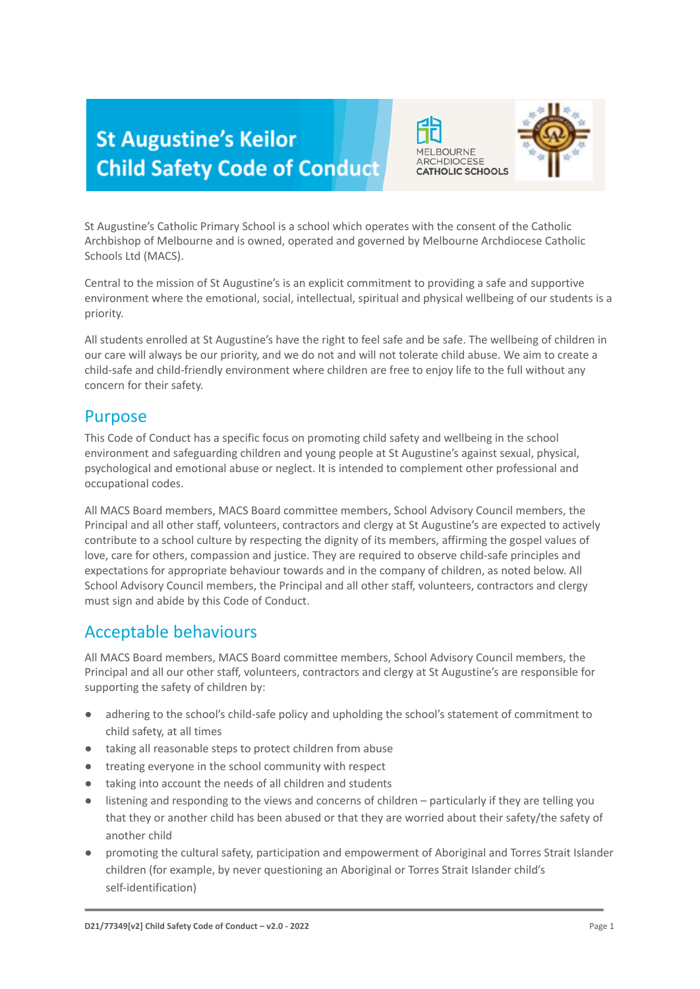# **St Augustine's Keilor Child Safety Code of Conduct**





St Augustine's Catholic Primary School is a school which operates with the consent of the Catholic Archbishop of Melbourne and is owned, operated and governed by Melbourne Archdiocese Catholic Schools Ltd (MACS).

Central to the mission of St Augustine's is an explicit commitment to providing a safe and supportive environment where the emotional, social, intellectual, spiritual and physical wellbeing of our students is a priority.

All students enrolled at St Augustine's have the right to feel safe and be safe. The wellbeing of children in our care will always be our priority, and we do not and will not tolerate child abuse. We aim to create a child-safe and child-friendly environment where children are free to enjoy life to the full without any concern for their safety.

## Purpose

This Code of Conduct has a specific focus on promoting child safety and wellbeing in the school environment and safeguarding children and young people at St Augustine's against sexual, physical, psychological and emotional abuse or neglect. It is intended to complement other professional and occupational codes.

All MACS Board members, MACS Board committee members, School Advisory Council members, the Principal and all other staff, volunteers, contractors and clergy at St Augustine's are expected to actively contribute to a school culture by respecting the dignity of its members, affirming the gospel values of love, care for others, compassion and justice. They are required to observe child-safe principles and expectations for appropriate behaviour towards and in the company of children, as noted below. All School Advisory Council members, the Principal and all other staff, volunteers, contractors and clergy must sign and abide by this Code of Conduct.

## Acceptable behaviours

All MACS Board members, MACS Board committee members, School Advisory Council members, the Principal and all our other staff, volunteers, contractors and clergy at St Augustine's are responsible for supporting the safety of children by:

- adhering to the school's child-safe policy and upholding the school's statement of commitment to child safety, at all times
- taking all reasonable steps to protect children from abuse
- treating everyone in the school community with respect
- taking into account the needs of all children and students
- listening and responding to the views and concerns of children particularly if they are telling you that they or another child has been abused or that they are worried about their safety/the safety of another child
- promoting the cultural safety, participation and empowerment of Aboriginal and Torres Strait Islander children (for example, by never questioning an Aboriginal or Torres Strait Islander child's self-identification)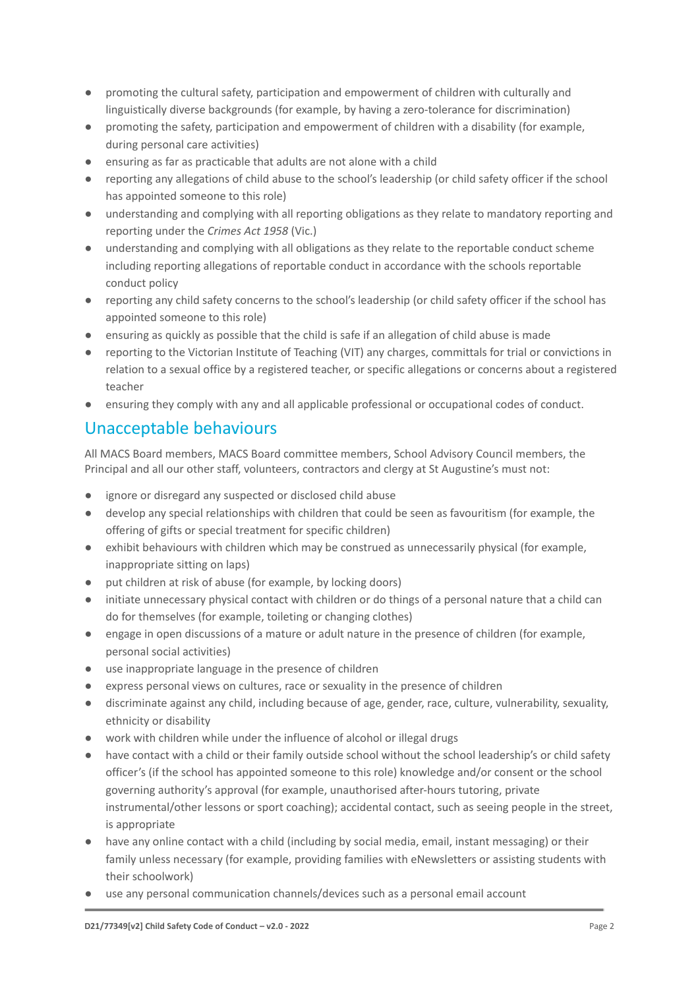- promoting the cultural safety, participation and empowerment of children with culturally and linguistically diverse backgrounds (for example, by having a zero-tolerance for discrimination)
- promoting the safety, participation and empowerment of children with a disability (for example, during personal care activities)
- ensuring as far as practicable that adults are not alone with a child
- reporting any allegations of child abuse to the school's leadership (or child safety officer if the school has appointed someone to this role)
- understanding and complying with all reporting obligations as they relate to mandatory reporting and reporting under the *Crimes Act 1958* (Vic.)
- understanding and complying with all obligations as they relate to the reportable conduct scheme including reporting allegations of reportable conduct in accordance with the schools reportable conduct policy
- reporting any child safety concerns to the school's leadership (or child safety officer if the school has appointed someone to this role)
- ensuring as quickly as possible that the child is safe if an allegation of child abuse is made
- reporting to the Victorian Institute of Teaching (VIT) any charges, committals for trial or convictions in relation to a sexual office by a registered teacher, or specific allegations or concerns about a registered teacher
- ensuring they comply with any and all applicable professional or occupational codes of conduct.

## Unacceptable behaviours

All MACS Board members, MACS Board committee members, School Advisory Council members, the Principal and all our other staff, volunteers, contractors and clergy at St Augustine's must not:

- ignore or disregard any suspected or disclosed child abuse
- develop any special relationships with children that could be seen as favouritism (for example, the offering of gifts or special treatment for specific children)
- exhibit behaviours with children which may be construed as unnecessarily physical (for example, inappropriate sitting on laps)
- put children at risk of abuse (for example, by locking doors)
- initiate unnecessary physical contact with children or do things of a personal nature that a child can do for themselves (for example, toileting or changing clothes)
- engage in open discussions of a mature or adult nature in the presence of children (for example, personal social activities)
- use inappropriate language in the presence of children
- express personal views on cultures, race or sexuality in the presence of children
- discriminate against any child, including because of age, gender, race, culture, vulnerability, sexuality, ethnicity or disability
- work with children while under the influence of alcohol or illegal drugs
- have contact with a child or their family outside school without the school leadership's or child safety officer's (if the school has appointed someone to this role) knowledge and/or consent or the school governing authority's approval (for example, unauthorised after-hours tutoring, private instrumental/other lessons or sport coaching); accidental contact, such as seeing people in the street, is appropriate
- have any online contact with a child (including by social media, email, instant messaging) or their family unless necessary (for example, providing families with eNewsletters or assisting students with their schoolwork)
- use any personal communication channels/devices such as a personal email account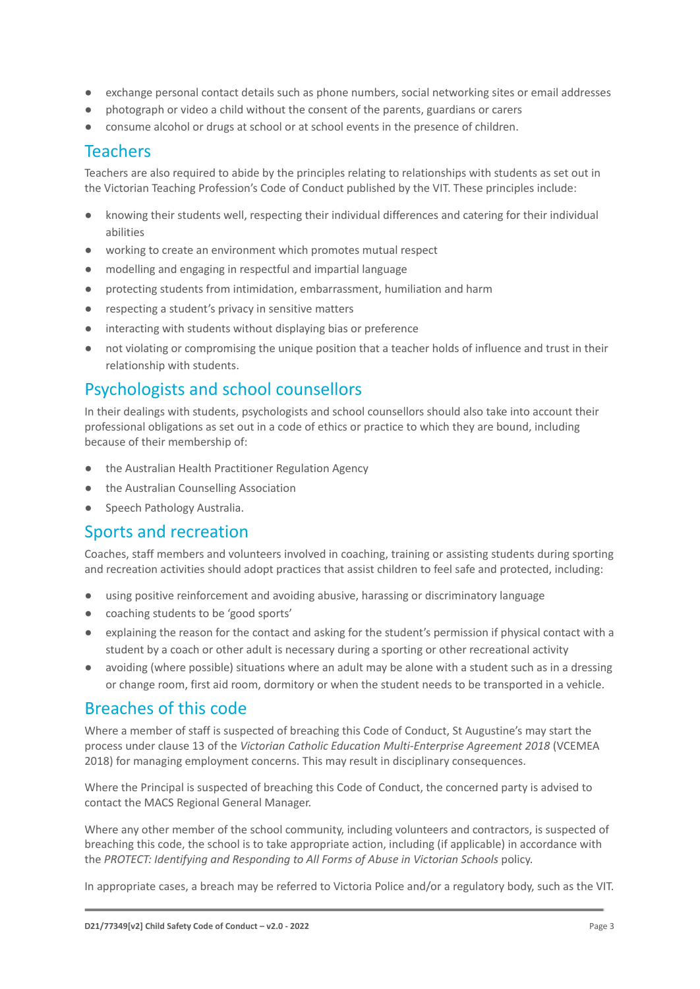- exchange personal contact details such as phone numbers, social networking sites or email addresses
- photograph or video a child without the consent of the parents, guardians or carers
- consume alcohol or drugs at school or at school events in the presence of children.

### Teachers

Teachers are also required to abide by the principles relating to relationships with students as set out in the Victorian Teaching Profession's Code of Conduct published by the VIT. These principles include:

- knowing their students well, respecting their individual differences and catering for their individual abilities
- working to create an environment which promotes mutual respect
- modelling and engaging in respectful and impartial language
- protecting students from intimidation, embarrassment, humiliation and harm
- respecting a student's privacy in sensitive matters
- interacting with students without displaying bias or preference
- not violating or compromising the unique position that a teacher holds of influence and trust in their relationship with students.

## Psychologists and school counsellors

In their dealings with students, psychologists and school counsellors should also take into account their professional obligations as set out in a code of ethics or practice to which they are bound, including because of their membership of:

- the Australian Health Practitioner Regulation Agency
- the Australian Counselling Association
- Speech Pathology Australia.

#### Sports and recreation

Coaches, staff members and volunteers involved in coaching, training or assisting students during sporting and recreation activities should adopt practices that assist children to feel safe and protected, including:

- using positive reinforcement and avoiding abusive, harassing or discriminatory language
- coaching students to be 'good sports'
- explaining the reason for the contact and asking for the student's permission if physical contact with a student by a coach or other adult is necessary during a sporting or other recreational activity
- avoiding (where possible) situations where an adult may be alone with a student such as in a dressing or change room, first aid room, dormitory or when the student needs to be transported in a vehicle.

### Breaches of this code

Where a member of staff is suspected of breaching this Code of Conduct, St Augustine's may start the process under clause 13 of the *Victorian Catholic Education Multi-Enterprise Agreement 2018* (VCEMEA 2018) for managing employment concerns. This may result in disciplinary consequences.

Where the Principal is suspected of breaching this Code of Conduct, the concerned party is advised to contact the MACS Regional General Manager.

Where any other member of the school community, including volunteers and contractors, is suspected of breaching this code, the school is to take appropriate action, including (if applicable) in accordance with the *PROTECT: Identifying and Responding to All Forms of Abuse in Victorian Schools* policy.

In appropriate cases, a breach may be referred to Victoria Police and/or a regulatory body, such as the VIT.